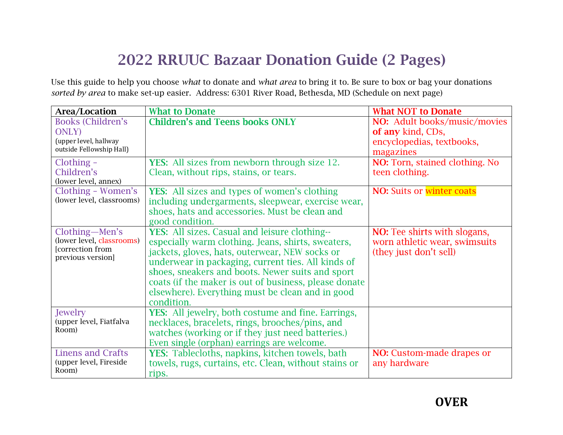## 2022 RRUUC Bazaar Donation Guide (2 Pages)

Use this guide to help you choose *what* to donate and *what area* to bring it to. Be sure to box or bag your donations *sorted by area* to make set-up easier. Address: 6301 River Road, Bethesda, MD (Schedule on next page)

| Area/Location                         | <b>What to Donate</b>                                     | <b>What NOT to Donate</b>           |
|---------------------------------------|-----------------------------------------------------------|-------------------------------------|
| <b>Books (Children's</b>              | <b>Children's and Teens books ONLY</b>                    | NO: Adult books/music/movies        |
| <b>ONLY</b>                           |                                                           | of any kind, CDs,                   |
| (upper level, hallway                 |                                                           | encyclopedias, textbooks,           |
| outside Fellowship Hall)              |                                                           | magazines                           |
| Clothing -                            | <b>YES:</b> All sizes from newborn through size 12.       | NO: Torn, stained clothing. No      |
| Children's                            | Clean, without rips, stains, or tears.                    | teen clothing.                      |
| (lower level, annex)                  |                                                           |                                     |
| Clothing - Women's                    | <b>YES:</b> All sizes and types of women's clothing       | <b>NO:</b> Suits or winter coats    |
| (lower level, classrooms)             | including undergarments, sleepwear, exercise wear,        |                                     |
|                                       | shoes, hats and accessories. Must be clean and            |                                     |
|                                       | good condition.                                           |                                     |
| Clothing-Men's                        | YES: All sizes. Casual and leisure clothing--             | <b>NO:</b> Tee shirts with slogans, |
| (lower level, classrooms)             | especially warm clothing. Jeans, shirts, sweaters,        | worn athletic wear, swimsuits       |
| [correction from<br>previous version] | jackets, gloves, hats, outerwear, NEW socks or            | (they just don't sell)              |
|                                       | underwear in packaging, current ties. All kinds of        |                                     |
|                                       | shoes, sneakers and boots. Newer suits and sport          |                                     |
|                                       | coats (if the maker is out of business, please donate     |                                     |
|                                       | elsewhere). Everything must be clean and in good          |                                     |
|                                       | condition.                                                |                                     |
| Jewelry                               | <b>YES:</b> All jewelry, both costume and fine. Earrings, |                                     |
| (upper level, Fiatfalva<br>Room)      | necklaces, bracelets, rings, brooches/pins, and           |                                     |
|                                       | watches (working or if they just need batteries.)         |                                     |
|                                       | Even single (orphan) earrings are welcome.                |                                     |
| <b>Linens and Crafts</b>              | YES: Tablecloths, napkins, kitchen towels, bath           | <b>NO:</b> Custom-made drapes or    |
| (upper level, Fireside<br>Room)       | towels, rugs, curtains, etc. Clean, without stains or     | any hardware                        |
|                                       | rips.                                                     |                                     |